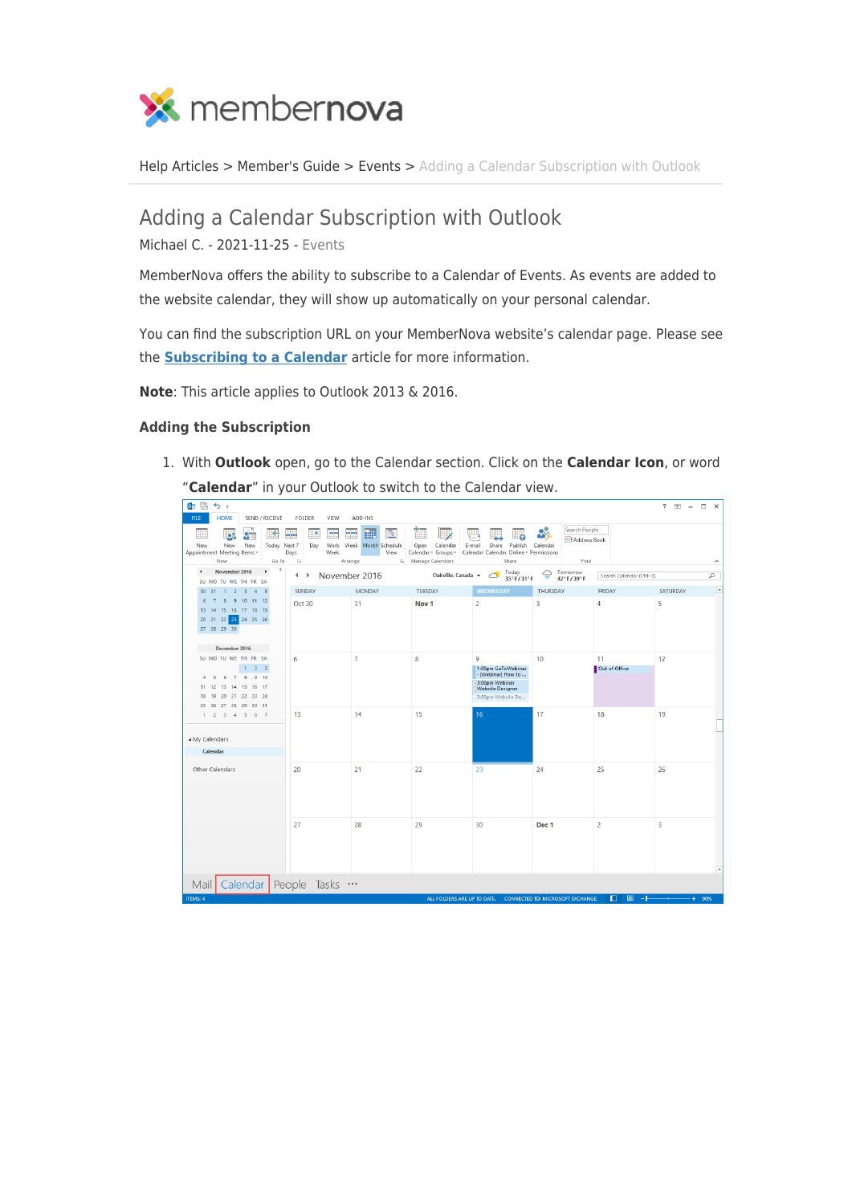

[Help Articles](https://www.membernovasupport.com/kb) > [Member's Guide](https://www.membernovasupport.com/kb/member-s-guide) > [Events](https://www.membernovasupport.com/kb/events-2) > [Adding a Calendar Subscription with Outlook](https://www.membernovasupport.com/kb/articles/adding-a-calendar-subscription-with-outlook-2)

## Adding a Calendar Subscription with Outlook

Michael C. - 2021-11-25 - [Events](https://www.membernovasupport.com/kb/events-2)

MemberNova offers the ability to subscribe to a Calendar of Events. As events are added to the website calendar, they will show up automatically on your personal calendar.

You can find the subscription URL on your MemberNova website's calendar page. Please see the **[Subscribing to a Calendar](https://www.membernovasupport.com/kb/articles/subscribing-to-a-calendar)** article for more information.

**Note**: This article applies to Outlook 2013 & 2016.

## **Adding the Subscription**

1. With **Outlook** open, go to the Calendar section. Click on the **Calendar Icon**, or word "**Calendar**" in your Outlook to switch to the Calendar view.

| 感<br>5.5<br>oв                                                                                           |                                             |                                            |                                               |                                                                                            |                                                  |                          | $\overline{\Xi}$<br>$\Box$ $\times$<br>2 |
|----------------------------------------------------------------------------------------------------------|---------------------------------------------|--------------------------------------------|-----------------------------------------------|--------------------------------------------------------------------------------------------|--------------------------------------------------|--------------------------|------------------------------------------|
| <b>HOME</b><br>SEND / RECEIVE<br><b>FILE</b>                                                             | <b>FOLDER</b><br>VIEW                       | ADD-INS                                    |                                               |                                                                                            |                                                  |                          |                                          |
| oC<br>New<br>New<br>New<br>Today Next 7<br>Appointment Meeting Items v                                   | m<br>×<br>μ.<br>Work<br>Day<br>Days<br>Week | 匷<br>m<br>亖<br>Week Month Schedule<br>View | HZ<br>Calendar<br>Open<br>Calendar ~ Groups ~ | E-mail<br>Share<br>Publish<br>Calendar Calendar Online ~ Permissions                       | <b>Search People</b><br>Address Book<br>Calendar |                          |                                          |
| New<br>Go To                                                                                             | $\overline{12}$                             | Arrange                                    | 5 Manage Calendars                            | Share                                                                                      | Find                                             |                          | $\hat{\phantom{a}}$                      |
| k<br>$\blacktriangleleft$<br>November 2016<br>SU MO TU WE TH FR SA                                       | November 2016<br>$\blacktriangleleft$       |                                            | Oakville, Canada -                            | Today<br>35°F/31°F                                                                         | Tomorrow<br>⇔<br>42°F/39°F                       | Search Calendar (Ctrl+E) | م                                        |
| 30 31 1 2 3 4 5                                                                                          | SUNDAY                                      | <b>MONDAY</b>                              | TUESDAY                                       | <b>WEDNESDAY</b>                                                                           | <b>THURSDAY</b>                                  | FRIDAY                   | $\overline{\phantom{a}}$<br>SATURDAY     |
| 7 8 9 10 11 12<br>6<br>13 14 15 16 17 18 19<br>20 21 22 23 24 25 26<br>27 28 29 30                       | Oct 30                                      | 31                                         | Nov <sub>1</sub>                              | 2                                                                                          | 3                                                | 4                        | 5                                        |
| December 2016                                                                                            |                                             |                                            |                                               |                                                                                            |                                                  |                          |                                          |
| SU MO TU WE TH FR SA<br>$1 \t2 \t3$<br>7 8 9 10<br>is.<br>-6<br>$\boldsymbol{A}$<br>11 12 13 14 15 16 17 | 6                                           | $\overline{7}$                             | 8                                             | 9<br>1:00pm GoToWebinar<br>- [Webinar] How to<br>3:00pm Webinar<br><b>Website Designer</b> | 10                                               | 11<br>Out of Office      | 12                                       |
| 18 19 20 21 22 23 24                                                                                     |                                             |                                            |                                               | 3:00pm Website De                                                                          |                                                  |                          |                                          |
| 25 26 27 28 29 30 31<br>$1 \t2 \t3 \t4 \t5 \t6 \t7$                                                      | 13                                          | 14                                         | 15                                            | 16                                                                                         | 17                                               | 18                       | 19                                       |
| My Calendars                                                                                             |                                             |                                            |                                               |                                                                                            |                                                  |                          |                                          |
| Calendar                                                                                                 |                                             |                                            |                                               |                                                                                            |                                                  |                          |                                          |
|                                                                                                          |                                             |                                            |                                               |                                                                                            |                                                  |                          |                                          |
| Other Calendars                                                                                          | 20                                          | 21                                         | 22                                            | 23                                                                                         | 24                                               | 25                       | 26                                       |
|                                                                                                          | 27                                          | 28                                         | 29                                            | 30                                                                                         | Dec 1                                            | $\overline{2}$           | 3                                        |
| Calendar People Tasks<br>Mail                                                                            |                                             |                                            |                                               |                                                                                            |                                                  |                          |                                          |
|                                                                                                          |                                             |                                            |                                               |                                                                                            |                                                  |                          |                                          |
| <b>ITEMS: 4</b>                                                                                          |                                             |                                            | ALL FOLDERS ARE UP TO DATE.                   |                                                                                            | <b>CONNECTED TO: MICROSOFT EXCHANGE</b>          | п                        | 90%                                      |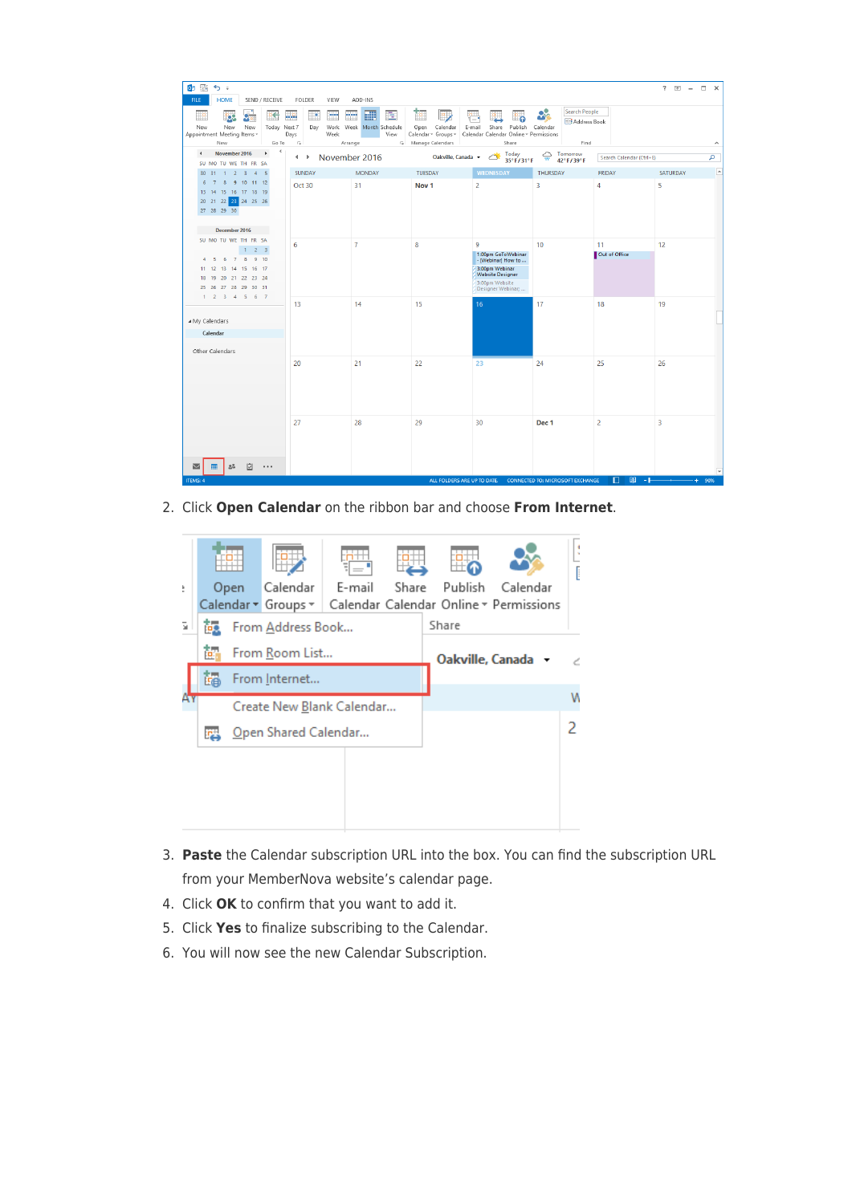| 03 国<br>ちょ<br><b>HOME</b><br>FILE<br>SEND / RECEIVE                                    | <b>FOLDER</b><br>VIEW                                      | ADD-INS                                               |                                                               |                                                                                                                              |                                                          |                          | $? \quad \Box - \quad \Box \quad \times$ |
|----------------------------------------------------------------------------------------|------------------------------------------------------------|-------------------------------------------------------|---------------------------------------------------------------|------------------------------------------------------------------------------------------------------------------------------|----------------------------------------------------------|--------------------------|------------------------------------------|
| Рç<br>New<br>Today Next 7<br>New<br>New<br>Appointment Meeting Items v<br>New<br>Go To | m<br>ųЮ,<br>Dav<br>Days<br>Week<br>$\overline{\mathbb{Q}}$ | 黜<br>亖<br>Work Week Month Schedule<br>View<br>Arrange | Calendar<br>Open<br>Calendar ~ Groups ~<br>5 Manage Calendars | Share<br>Publish<br>E-mail<br>Calendar Calendar Online v Permissions<br>Share                                                | Search People<br><b>Address Book</b><br>Calendar<br>Find |                          | ٨                                        |
| ≺<br>November 2016<br>$\left($                                                         |                                                            |                                                       |                                                               | Today                                                                                                                        | $\bigoplus_{W}$ Tomorrow                                 |                          |                                          |
| SU MO TU WE TH FR SA                                                                   | November 2016<br>$\leftarrow$                              |                                                       | Oakville, Canada v                                            | 35°F/31°F                                                                                                                    | 42°F/39°F                                                | Search Calendar (Ctrl+E) | م                                        |
| 30 31 1 2 3 4 5                                                                        | <b>SUNDAY</b>                                              | <b>MONDAY</b>                                         | TUESDAY                                                       | <b>WEDNESDAY</b>                                                                                                             | THURSDAY                                                 | <b>FRIDAY</b>            | $\overline{\phantom{a}}$<br>SATURDAY     |
| 6 7 8 9 10 11 12<br>13 14 15 16 17 18 19<br>20 21 22 23 24 25 26                       | Oct 30                                                     | 31                                                    | Nov <sub>1</sub>                                              | $\overline{2}$                                                                                                               | 3                                                        | 4                        | 5                                        |
| December 2016                                                                          |                                                            |                                                       |                                                               |                                                                                                                              |                                                          |                          |                                          |
| SU MO TU WE TH FR SA<br>$1 \t2 \t3$                                                    | 6                                                          | $\overline{7}$                                        | 8                                                             | 9                                                                                                                            | 10 <sup>°</sup>                                          | 11                       | 12                                       |
| 4 5 6 7 8 9 10<br>11 12 13 14 15 16 17<br>18 19 20 21 22 23 24<br>25 26 27 28 29 30 31 |                                                            |                                                       |                                                               | 1:00pm GoToWebinar<br>- [Webinar] How to<br>3:00pm Webinar<br><b>Website Designer</b><br>3:00pm Website<br>Designer Webinar; |                                                          | Out of Office            |                                          |
| $1 \t2 \t3 \t4 \t5 \t6 \t7$                                                            | 13                                                         | 14                                                    | 15                                                            | 16                                                                                                                           | 17                                                       | 18                       | 19                                       |
| ▲ My Calendars                                                                         |                                                            |                                                       |                                                               |                                                                                                                              |                                                          |                          |                                          |
| Calendar                                                                               |                                                            |                                                       |                                                               |                                                                                                                              |                                                          |                          |                                          |
| Other Calendars                                                                        |                                                            |                                                       |                                                               |                                                                                                                              |                                                          |                          |                                          |
|                                                                                        | 20                                                         | 21                                                    | 22                                                            | 23                                                                                                                           | 24                                                       | 25                       | 26                                       |
|                                                                                        | 27                                                         | 28                                                    | 29                                                            | 30                                                                                                                           | Dec 1                                                    | $\overline{2}$           | 3.                                       |
| 哵<br>28<br>$\overline{\smile}$<br>$\ddotsc$                                            |                                                            |                                                       |                                                               |                                                                                                                              |                                                          |                          |                                          |
| <b>ITEMS: 4</b>                                                                        |                                                            |                                                       | ALL FOLDERS ARE UP TO DATE.                                   |                                                                                                                              | <b>CONNECTED TO: MICROSOFT EXCHANGE</b>                  | 明<br>÷.                  | 90%                                      |

2. Click **Open Calendar** on the ribbon bar and choose **From Internet**.



- 3. **Paste** the Calendar subscription URL into the box. You can find the subscription URL from your MemberNova website's calendar page.
- 4. Click **OK** to confirm that you want to add it.
- 5. Click **Yes** to finalize subscribing to the Calendar.
- 6. You will now see the new Calendar Subscription.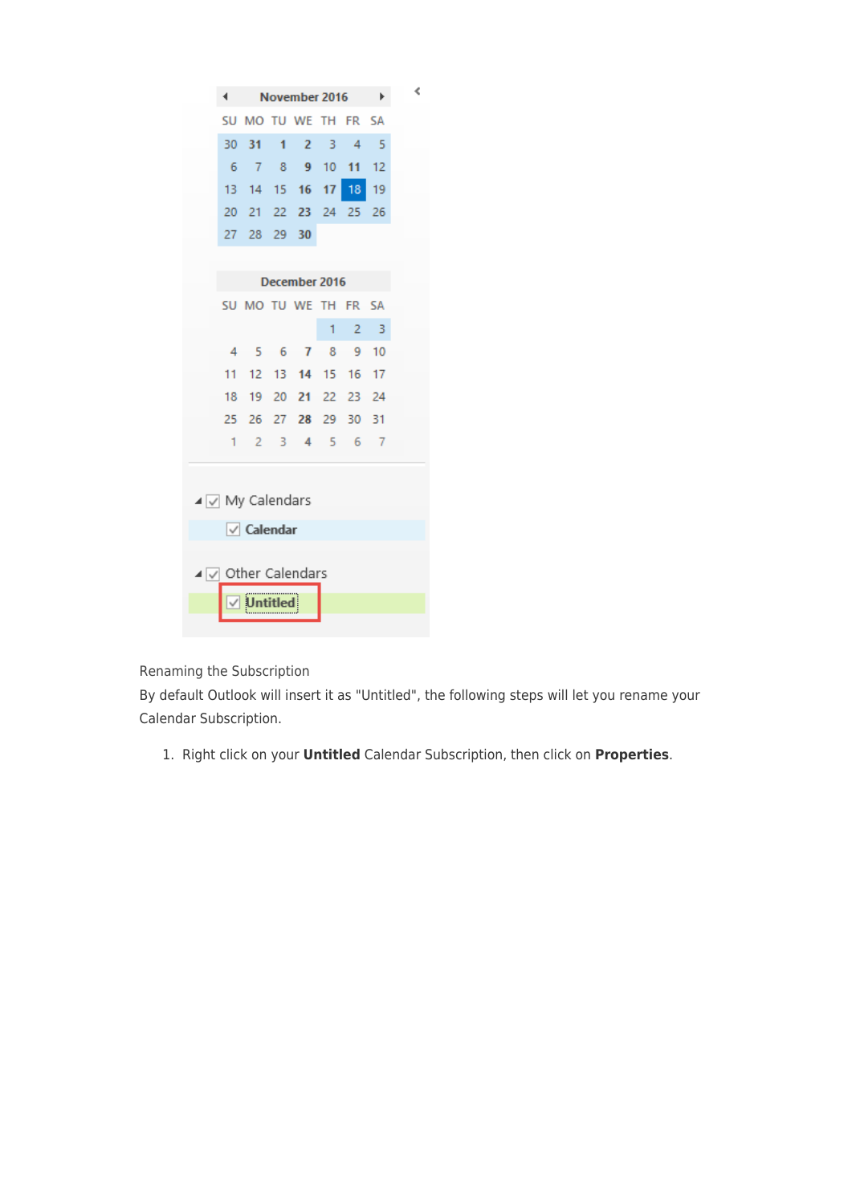| ∢                                          | November 2016      |   |                        |   |                | ▶    | ∢ |
|--------------------------------------------|--------------------|---|------------------------|---|----------------|------|---|
| SU                                         | MO TU WE TH FR SA  |   |                        |   |                |      |   |
| 30                                         | 31                 | 1 | $\overline{2}$         | 3 | $\overline{4}$ | -5   |   |
| - 6                                        | 7 8 9 10           |   |                        |   | 11             | 12   |   |
|                                            | 13 14 15 16 17 18  |   |                        |   |                | 19   |   |
| $20-1$                                     |                    |   | 21 22 23 24 25         |   |                | 26   |   |
| 27                                         |                    |   | 28 29 30               |   |                |      |   |
|                                            |                    |   |                        |   |                |      |   |
|                                            |                    |   | December 2016          |   |                |      |   |
|                                            | SU MO TU WE TH FR  |   |                        |   |                | - SA |   |
|                                            |                    |   |                        | 1 | 2              | -3   |   |
|                                            | 4 5 6 7 8 9 10     |   |                        |   |                |      |   |
| $11 -$                                     |                    |   | 12  13  14  15  16  17 |   |                |      |   |
| 18                                         |                    |   | 19 20 21 22 23 24      |   |                |      |   |
| 25.                                        | 26                 |   | 27 28 29 30            |   |                | 31   |   |
| 1.                                         |                    |   | 2 3 4 5 6 7            |   |                |      |   |
|                                            |                    |   |                        |   |                |      |   |
| $\blacktriangleleft \sqrt{ }$ My Calendars |                    |   |                        |   |                |      |   |
|                                            |                    |   |                        |   |                |      |   |
|                                            | $\sqrt{}$ Calendar |   |                        |   |                |      |   |
|                                            |                    |   |                        |   |                |      |   |
| ⊿ V Other Calendars                        |                    |   |                        |   |                |      |   |
|                                            |                    |   |                        |   |                |      |   |
|                                            |                    |   |                        |   |                |      |   |

Renaming the Subscription

By default Outlook will insert it as "Untitled", the following steps will let you rename your Calendar Subscription.

1. Right click on your **Untitled** Calendar Subscription, then click on **Properties**.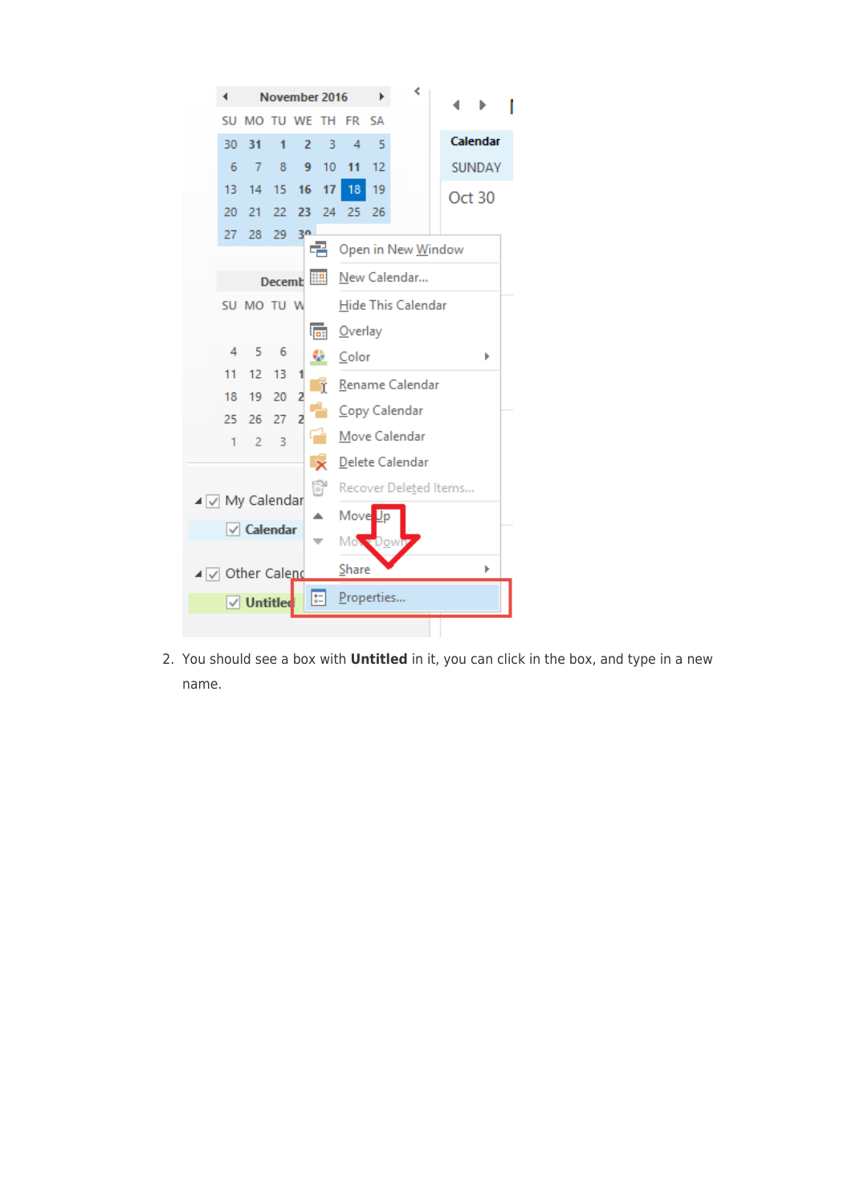

2. You should see a box with **Untitled** in it, you can click in the box, and type in a new name.